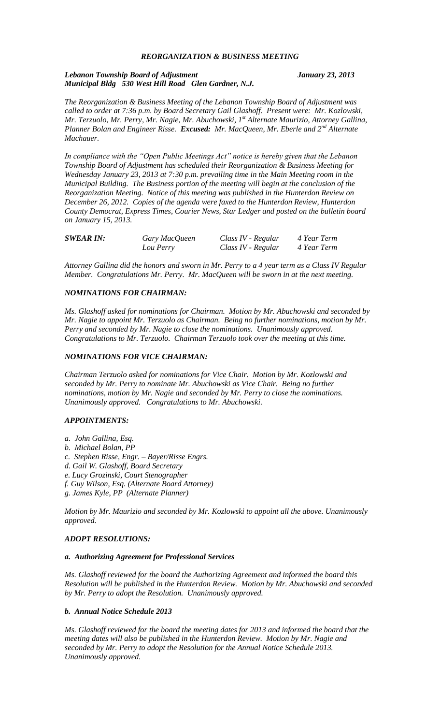# *REORGANIZATION & BUSINESS MEETING*

## *Lebanon Township Board of Adjustment January 23, 2013 Municipal Bldg 530 West Hill Road Glen Gardner, N.J.*

*The Reorganization & Business Meeting of the Lebanon Township Board of Adjustment was called to order at 7:36 p.m. by Board Secretary Gail Glashoff. Present were: Mr. Kozlowski, Mr. Terzuolo, Mr. Perry, Mr. Nagie, Mr. Abuchowski, 1st Alternate Maurizio, Attorney Gallina, Planner Bolan and Engineer Risse. Excused: Mr. MacQueen, Mr. Eberle and 2nd Alternate Machauer.*

*In compliance with the "Open Public Meetings Act" notice is hereby given that the Lebanon Township Board of Adjustment has scheduled their Reorganization & Business Meeting for Wednesday January 23, 2013 at 7:30 p.m. prevailing time in the Main Meeting room in the Municipal Building. The Business portion of the meeting will begin at the conclusion of the Reorganization Meeting. Notice of this meeting was published in the Hunterdon Review on December 26, 2012. Copies of the agenda were faxed to the Hunterdon Review, Hunterdon County Democrat, Express Times, Courier News, Star Ledger and posted on the bulletin board on January 15, 2013.*

| <b>SWEAR IN:</b> | Gary MacQueen | Class IV - Regular | 4 Year Term |
|------------------|---------------|--------------------|-------------|
|                  | Lou Perry     | Class IV - Regular | 4 Year Term |

*Attorney Gallina did the honors and sworn in Mr. Perry to a 4 year term as a Class IV Regular Member. Congratulations Mr. Perry. Mr. MacQueen will be sworn in at the next meeting.*

## *NOMINATIONS FOR CHAIRMAN:*

*Ms. Glashoff asked for nominations for Chairman. Motion by Mr. Abuchowski and seconded by Mr. Nagie to appoint Mr. Terzuolo as Chairman. Being no further nominations, motion by Mr. Perry and seconded by Mr. Nagie to close the nominations. Unanimously approved. Congratulations to Mr. Terzuolo. Chairman Terzuolo took over the meeting at this time.*

#### *NOMINATIONS FOR VICE CHAIRMAN:*

*Chairman Terzuolo asked for nominations for Vice Chair. Motion by Mr. Kozlowski and seconded by Mr. Perry to nominate Mr. Abuchowski as Vice Chair. Being no further nominations, motion by Mr. Nagie and seconded by Mr. Perry to close the nominations. Unanimously approved. Congratulations to Mr. Abuchowski.*

#### *APPOINTMENTS:*

- *a. John Gallina, Esq.*
- *b. Michael Bolan, PP*
- *c. Stephen Risse, Engr. – Bayer/Risse Engrs.*
- *d. Gail W. Glashoff, Board Secretary*
- *e. Lucy Grozinski, Court Stenographer*
- *f. Guy Wilson, Esq. (Alternate Board Attorney)*
- *g. James Kyle, PP (Alternate Planner)*

*Motion by Mr. Maurizio and seconded by Mr. Kozlowski to appoint all the above. Unanimously approved.*

# *ADOPT RESOLUTIONS:*

#### *a. Authorizing Agreement for Professional Services*

*Ms. Glashoff reviewed for the board the Authorizing Agreement and informed the board this Resolution will be published in the Hunterdon Review. Motion by Mr. Abuchowski and seconded by Mr. Perry to adopt the Resolution. Unanimously approved.*

# *b. Annual Notice Schedule 2013*

*Ms. Glashoff reviewed for the board the meeting dates for 2013 and informed the board that the meeting dates will also be published in the Hunterdon Review. Motion by Mr. Nagie and seconded by Mr. Perry to adopt the Resolution for the Annual Notice Schedule 2013. Unanimously approved.*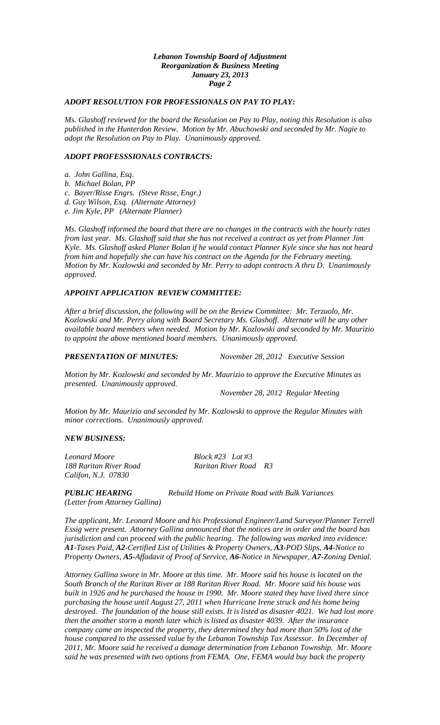## *Lebanon Township Board of Adjustment Reorganization & Business Meeting January 23, 2013 Page 2*

# *ADOPT RESOLUTION FOR PROFESSIONALS ON PAY TO PLAY:*

*Ms. Glashoff reviewed for the board the Resolution on Pay to Play, noting this Resolution is also published in the Hunterdon Review. Motion by Mr. Abuchowski and seconded by Mr. Nagie to adopt the Resolution on Pay to Play. Unanimously approved.*

# *ADOPT PROFESSSIONALS CONTRACTS:*

*a. John Gallina, Esq.*

*b. Michael Bolan, PP*

*c. Bayer/Risse Engrs. (Steve Risse, Engr.)*

*d. Guy Wilson, Esq. (Alternate Attorney)*

*e. Jim Kyle, PP (Alternate Planner)*

*Ms. Glashoff informed the board that there are no changes in the contracts with the hourly rates from last year. Ms. Glashoff said that she has not received a contract as yet from Planner Jim Kyle. Ms. Glashoff asked Planer Bolan if he would contact Planner Kyle since she has not heard from him and hopefully she can have his contract on the Agenda for the February meeting. Motion by Mr. Kozlowski and seconded by Mr. Perry to adopt contracts A thru D. Unanimously approved.*

#### *APPOINT APPLICATION REVIEW COMMITTEE:*

*After a brief discussion, the following will be on the Review Committee: Mr. Terzuolo, Mr. Kozlowski and Mr. Perry along with Board Secretary Ms. Glashoff. Alternate will be any other available board members when needed. Motion by Mr. Kozlowski and seconded by Mr. Maurizio to appoint the above mentioned board members. Unanimously approved.*

*PRESENTATION OF MINUTES: November 28, 2012 Executive Session*

*Motion by Mr. Kozlowski and seconded by Mr. Maurizio to approve the Executive Minutes as presented. Unanimously approved.*

*November 28, 2012 Regular Meeting*

*Motion by Mr. Maurizio and seconded by Mr. Kozlowski to approve the Regular Minutes with minor corrections. Unanimously approved.*

#### *NEW BUSINESS:*

*Leonard Moore Block #23 Lot #3 Califon, N.J. 07830*

*188 Raritan River Road Raritan River Road R3*

*(Letter from Attorney Gallina)*

*PUBLIC HEARING Rebuild Home on Private Road with Bulk Variances*

*The applicant, Mr. Leonard Moore and his Professional Engineer/Land Surveyor/Planner Terrell Essig were present. Attorney Gallina announced that the notices are in order and the board has jurisdiction and can proceed with the public hearing. The following was marked into evidence: A1-Taxes Paid, A2-Certified List of Utilities & Property Owners, A3-POD Slips, A4-Notice to Property Owners, A5-Affadavit of Proof of Service, A6-Notice in Newspaper, A7-Zoning Denial.*

*Attorney Gallina swore in Mr. Moore at this time. Mr. Moore said his house is located on the South Branch of the Raritan River at 188 Raritan River Road. Mr. Moore said his house was built in 1926 and he purchased the house in 1990. Mr. Moore stated they have lived there since purchasing the house until August 27, 2011 when Hurricane Irene struck and his home being destroyed. The foundation of the house still exists. It is listed as disaster 4021. We had lost more then the another storm a month later which is listed as disaster 4039. After the insurance company came an inspected the property, they determined they had more than 50% lost of the house compared to the assessed value by the Lebanon Township Tax Assessor. In December of 2011, Mr. Moore said he received a damage determination from Lebanon Township. Mr. Moore said he was presented with two options from FEMA. One, FEMA would buy back the property*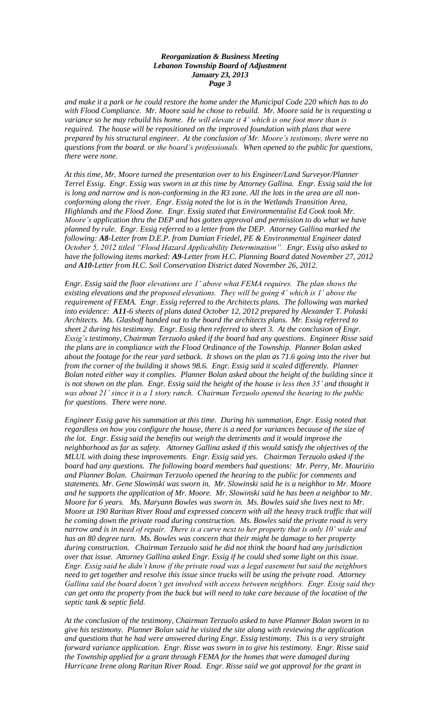# *Reorganization & Business Meeting Lebanon Township Board of Adjustment January 23, 2013 Page 3*

*and make it a park or he could restore the home under the Municipal Code 220 which has to do with Flood Compliance. Mr. Moore said he chose to rebuild. Mr. Moore said he is requesting a variance so he may rebuild his home. He will elevate it 4' which is one foot more than is required. The house will be repositioned on the improved foundation with plans that were prepared by his structural engineer. At the conclusion of Mr. Moore's testimony, there were no questions from the board. or the board's professionals. When opened to the public for questions, there were none.*

*At this time, Mr. Moore turned the presentation over to his Engineer/Land Surveyor/Planner Terrel Essig. Engr. Essig was sworn in at this time by Attorney Gallina. Engr. Essig said the lot is long and narrow and is non-conforming in the R3 zone. All the lots in the area are all nonconforming along the river. Engr. Essig noted the lot is in the Wetlands Transition Area, Highlands and the Flood Zone. Engr. Essig stated that Environmentalist Ed Cook took Mr. Moore's application thru the DEP and has gotten approval and permission to do what we have planned by rule. Engr. Essig referred to a letter from the DEP. Attorney Gallina marked the following: A8-Letter from D.E.P. from Damian Friedel, PE & Environmental Engineer dated October 5, 2012 titled "Flood Hazard Applicability Determination". Engr. Essig also asked to have the following items marked: A9-Letter from H.C. Planning Board dated November 27, 2012 and A10-Letter from H.C. Soil Conservation District dated November 26, 2012.*

*Engr. Essig said the floor elevations are 1' above what FEMA requires. The plan shows the existing elevations and the proposed elevations. They will be going 4' which is 1' above the requirement of FEMA. Engr. Essig referred to the Architects plans. The following was marked into evidence: A11-6 sheets of plans dated October 12, 2012 prepared by Alexander T. Polaski Architects. Ms. Glashoff handed out to the board the architects plans. Mr. Essig referred to sheet 2 during his testimony. Engr. Essig then referred to sheet 3. At the conclusion of Engr. Essig's testimony, Chairman Terzuolo asked if the board had any questions. Engineer Risse said the plans are in compliance with the Flood Ordinance of the Township. Planner Bolan asked about the footage for the rear yard setback. It shows on the plan as 71.6 going into the river but from the corner of the building it shows 98.6. Engr. Essig said it scaled differently. Planner Bolan noted either way it complies. Planner Bolan asked about the height of the building since it is not shown on the plan. Engr. Essig said the height of the house is less then 35' and thought it was about 21' since it is a 1 story ranch. Chairman Terzuolo opened the hearing to the public for questions. There were none.*

*Engineer Essig gave his summation at this time. During his summation, Engr. Essig noted that*  regardless on how you configure the house, there is a need for variances because of the size of *the lot. Engr. Essig said the benefits out weigh the detriments and it would improve the neighborhood as far as safety. Attorney Gallina asked if this would satisfy the objectives of the MLUL with doing these improvements. Engr. Essig said yes. Chairman Terzuolo asked if the board had any questions. The following board members had questions: Mr. Perry, Mr. Maurizio and Planner Bolan. Chairman Terzuolo opened the hearing to the public for comments and statements. Mr. Gene Slowinski was sworn in. Mr. Slowinski said he is a neighbor to Mr. Moore and he supports the application of Mr. Moore. Mr. Slowinski said he has been a neighbor to Mr. Moore for 6 years. Ms. Maryann Bowles was sworn in. Ms. Bowles said she lives next to Mr. Moore at 190 Raritan River Road and expressed concern with all the heavy truck traffic that will be coming down the private road during construction. Ms. Bowles said the private road is very narrow and is in need of repair. There is a curve next to her property that is only 10' wide and has an 80 degree turn. Ms. Bowles was concern that their might be damage to her property during construction. Chairman Terzuolo said he did not think the board had any jurisdiction over that issue. Attorney Gallina asked Engr. Essig if he could shed some light on this issue. Engr. Essig said he didn't know if the private road was a legal easement but said the neighbors need to get together and resolve this issue since trucks will be using the private road. Attorney Gallina said the board doesn't get involved with access between neighbors. Engr. Essig said they can get onto the property from the back but will need to take care because of the location of the septic tank & septic field.*

*At the conclusion of the testimony, Chairman Terzuolo asked to have Planner Bolan sworn in to give his testimony. Planner Bolan said he visited the site along with reviewing the application and questions that he had were answered during Engr. Essig testimony. This is a very straight forward variance application. Engr. Risse was sworn in to give his testimony. Engr. Risse said the Township applied for a grant through FEMA for the homes that were damaged during Hurricane Irene along Raritan River Road. Engr. Risse said we got approval for the grant in*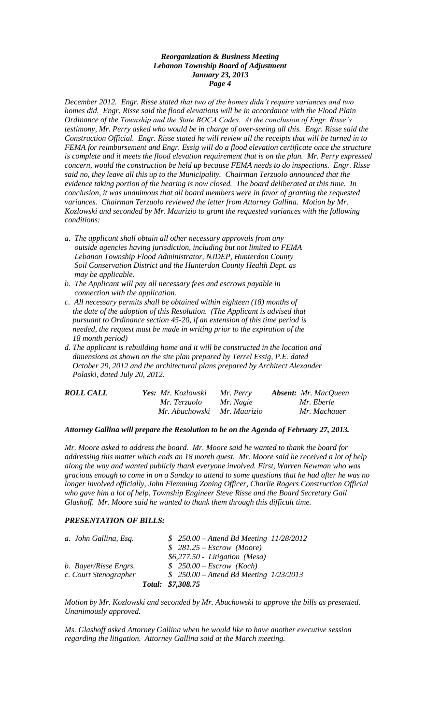# *Reorganization & Business Meeting Lebanon Township Board of Adjustment January 23, 2013 Page 4*

*December 2012. Engr. Risse stated that two of the homes didn't require variances and two homes did. Engr. Risse said the flood elevations will be in accordance with the Flood Plain Ordinance of the Township and the State BOCA Codes. At the conclusion of Engr. Risse's testimony, Mr. Perry asked who would be in charge of over-seeing all this. Engr. Risse said the Construction Official. Engr. Risse stated he will review all the receipts that will be turned in to FEMA for reimbursement and Engr. Essig will do a flood elevation certificate once the structure is complete and it meets the flood elevation requirement that is on the plan. Mr. Perry expressed concern, would the construction be held up because FEMA needs to do inspections. Engr. Risse said no, they leave all this up to the Municipality. Chairman Terzuolo announced that the evidence taking portion of the hearing is now closed. The board deliberated at this time. In conclusion, it was unanimous that all board members were in favor of granting the requested variances. Chairman Terzuolo reviewed the letter from Attorney Gallina. Motion by Mr. Kozlowski and seconded by Mr. Maurizio to grant the requested variances with the following conditions:*

- *a. The applicant shall obtain all other necessary approvals from any outside agencies having jurisdiction, including but not limited to FEMA Lebanon Township Flood Administrator, NJDEP, Hunterdon County Soil Conservation District and the Hunterdon County Health Dept. as may be applicable.*
- *b. The Applicant will pay all necessary fees and escrows payable in connection with the application.*
- *c. All necessary permits shall be obtained within eighteen (18) months of the date of the adoption of this Resolution. (The Applicant is advised that pursuant to Ordinance section 45-20, if an extension of this time period is needed, the request must be made in writing prior to the expiration of the 18 month period)*
- *d. The applicant is rebuilding home and it will be constructed in the location and dimensions as shown on the site plan prepared by Terrel Essig, P.E. dated October 29, 2012 and the architectural plans prepared by Architect Alexander Polaski, dated July 20, 2012.*

| <b>ROLL CALL</b> | <b>Yes:</b> Mr. Kozlowski   | Mr. Perry | <b>Absent:</b> Mr. MacQueen |
|------------------|-----------------------------|-----------|-----------------------------|
|                  | Mr. Terzuolo                | Mr. Nagie | Mr. Eberle                  |
|                  | Mr. Abuchowski Mr. Maurizio |           | Mr. Machauer                |

#### *Attorney Gallina will prepare the Resolution to be on the Agenda of February 27, 2013.*

*Mr. Moore asked to address the board. Mr. Moore said he wanted to thank the board for addressing this matter which ends an 18 month quest. Mr. Moore said he received a lot of help along the way and wanted publicly thank everyone involved. First, Warren Newman who was gracious enough to come in on a Sunday to attend to some questions that he had after he was no longer involved officially, John Flemming Zoning Officer, Charlie Rogers Construction Official who gave him a lot of help, Township Engineer Steve Risse and the Board Secretary Gail Glashoff. Mr. Moore said he wanted to thank them through this difficult time.*

## *PRESENTATION OF BILLS:*

| a. John Gallina, Esq. | $$250.00 - Attend Bd Meeting 11/28/2012$ |
|-----------------------|------------------------------------------|
|                       | $$281.25 - Escrow (Moore)$               |
|                       | $$6,277.50$ - Litigation (Mesa)          |
| b. Bayer/Risse Engrs. | $$250.00 - Escrow (Koch)$                |
| c. Court Stenographer | $$250.00 - Attend Bd Meeting\ 1/23/2013$ |
|                       | Total: \$7,308.75                        |

*Motion by Mr. Kozlowski and seconded by Mr. Abuchowski to approve the bills as presented. Unanimously approved.*

*Ms. Glashoff asked Attorney Gallina when he would like to have another executive session regarding the litigation. Attorney Gallina said at the March meeting.*